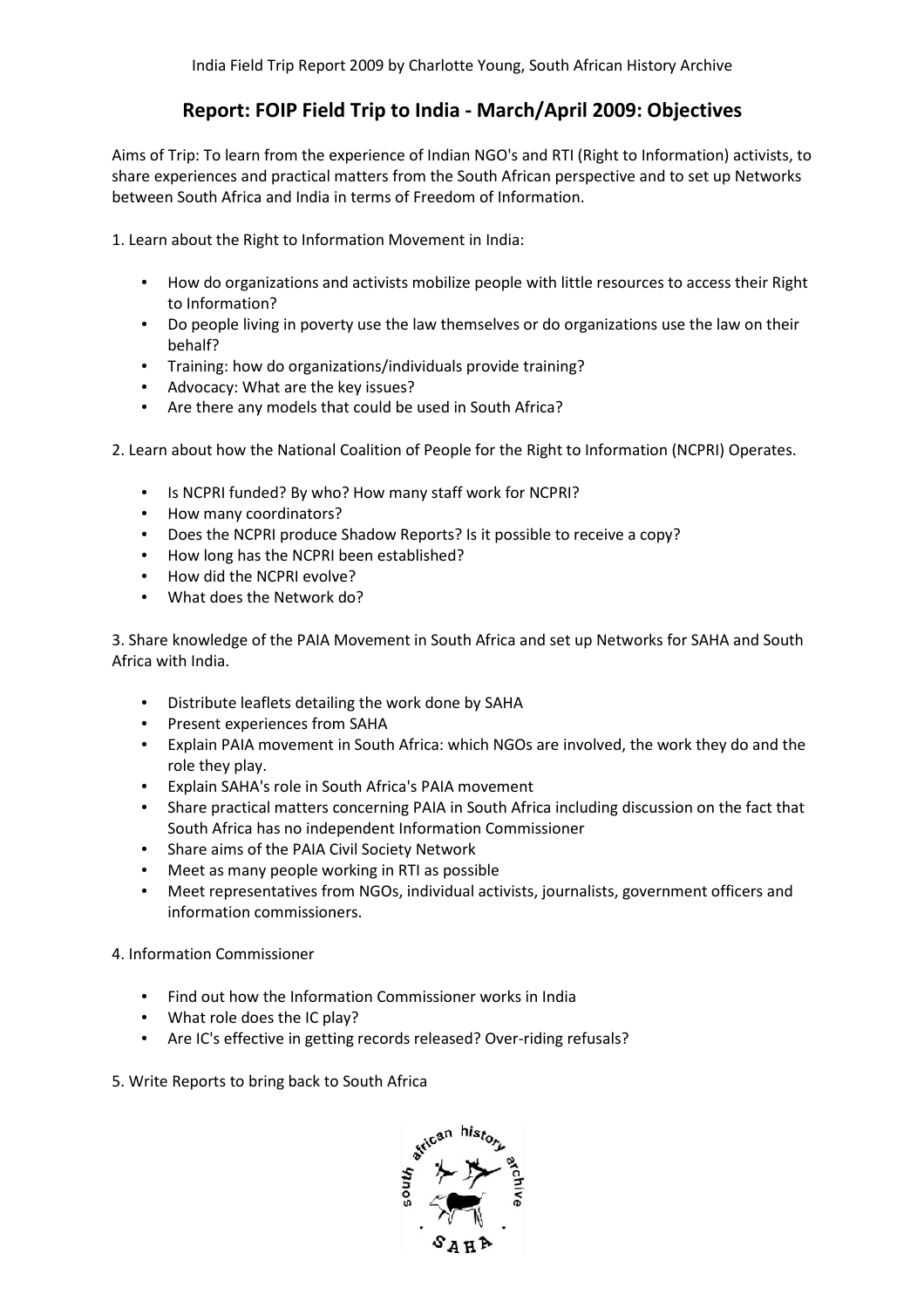## **Report: FOIP Field Trip to India - March/April 2009: Objectives :**

Aims of Trip: To learn from the experience of Indian NGO's and RTI (Right to Information) activists, to share experiences and practical matters from the South African perspective and to set up Networks between South Africa and India in terms of Freedom of Information.

1. Learn about the Right to Information Movement in India:

- How do organizations and activists mobilize people with little resources to access their Right to Information?
- Do people living in poverty use the law themselves or do organizations use the law on their behalf?
- Training: how do organizations/individuals provide training?
- Advocacy: What are the key issues?
- Are there any models that could be used in South Africa?

2. Learn about how the National Coalition of People for the Right to Information (NCPRI) Operates.

- Is NCPRI funded? By who? How many staff work for NCPRI?
- How many coordinators?
- Does the NCPRI produce Shadow Reports? Is it possible to receive a copy?
- How long has the NCPRI been established?
- How did the NCPRI evolve?
- What does the Network do?

3. Share knowledge of the PAIA Movement in South Africa and set up Networks for SAHA and South Africa with India.

- Distribute leaflets detailing the work done by SAHA
- Present experiences from SAHA
- Explain PAIA movement in South Africa: which NGOs are involved, the work they do and the role they play. o people living in poverty use the law themselves or do organizati<br>half?<br>half?<br>half?<br>ianing: how do organizations/individuals provide training?<br>dvocacy: What are the key issues?<br>bout how the National Coalition of People fo
- Explain SAHA's role in South Africa's PAIA movement
- Share practical matters concerning PAIA in South Africa including discussion on the fact that South Africa has no independent Information Commissioner
- Share aims of the PAIA Civil Society Network
- Meet as many people working in RTI as possible
- Meet representatives from NGOs, individual activists, journalists, government officers and information commissioners.
- 4. Information Commissioner
	- Find out how the Information Commissioner works in India
	- What role does the IC play?
	- Are IC's effective in getting records released? Over-riding refusals?
- 5. Write Reports to bring back to South Africa